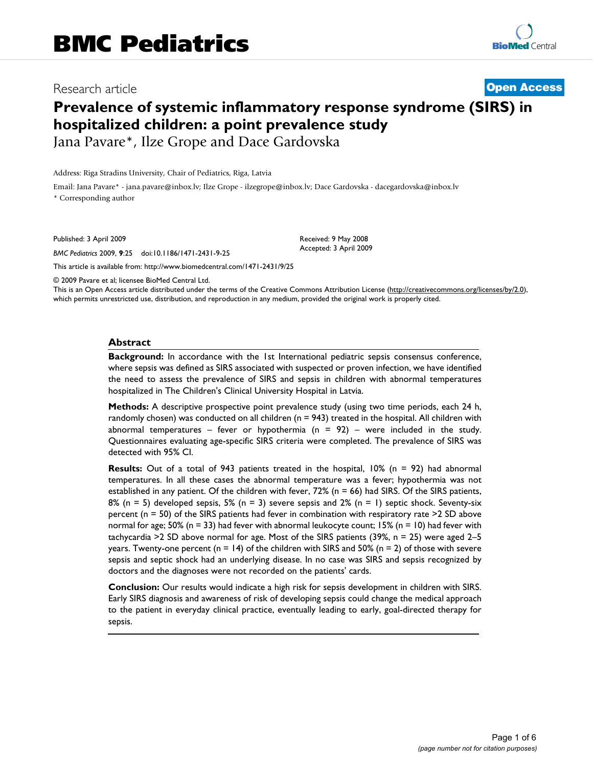# Research article **[Open Access](http://www.biomedcentral.com/info/about/charter/)**

# **Prevalence of systemic inflammatory response syndrome (SIRS) in hospitalized children: a point prevalence study**

Jana Pavare\*, Ilze Grope and Dace Gardovska

Address: Riga Stradins University, Chair of Pediatrics, Riga, Latvia

Email: Jana Pavare\* - jana.pavare@inbox.lv; Ilze Grope - ilzegrope@inbox.lv; Dace Gardovska - dacegardovska@inbox.lv

\* Corresponding author

Published: 3 April 2009

*BMC Pediatrics* 2009, **9**:25 doi:10.1186/1471-2431-9-25

[This article is available from: http://www.biomedcentral.com/1471-2431/9/25](http://www.biomedcentral.com/1471-2431/9/25)

© 2009 Pavare et al; licensee BioMed Central Ltd.

This is an Open Access article distributed under the terms of the Creative Commons Attribution License [\(http://creativecommons.org/licenses/by/2.0\)](http://creativecommons.org/licenses/by/2.0), which permits unrestricted use, distribution, and reproduction in any medium, provided the original work is properly cited.

Received: 9 May 2008 Accepted: 3 April 2009

#### **Abstract**

**Background:** In accordance with the 1st International pediatric sepsis consensus conference, where sepsis was defined as SIRS associated with suspected or proven infection, we have identified the need to assess the prevalence of SIRS and sepsis in children with abnormal temperatures hospitalized in The Children's Clinical University Hospital in Latvia.

**Methods:** A descriptive prospective point prevalence study (using two time periods, each 24 h, randomly chosen) was conducted on all children ( $n = 943$ ) treated in the hospital. All children with abnormal temperatures – fever or hypothermia ( $n = 92$ ) – were included in the study. Questionnaires evaluating age-specific SIRS criteria were completed. The prevalence of SIRS was detected with 95% CI.

**Results:** Out of a total of 943 patients treated in the hospital, 10% (n = 92) had abnormal temperatures. In all these cases the abnormal temperature was a fever; hypothermia was not established in any patient. Of the children with fever, 72% (n = 66) had SIRS. Of the SIRS patients, 8% (n = 5) developed sepsis, 5% (n = 3) severe sepsis and 2% (n = 1) septic shock. Seventy-six percent (n = 50) of the SIRS patients had fever in combination with respiratory rate >2 SD above normal for age; 50% (n = 33) had fever with abnormal leukocyte count; 15% (n = 10) had fever with tachycardia >2 SD above normal for age. Most of the SIRS patients (39%,  $n = 25$ ) were aged 2–5 years. Twenty-one percent ( $n = 14$ ) of the children with SIRS and 50% ( $n = 2$ ) of those with severe sepsis and septic shock had an underlying disease. In no case was SIRS and sepsis recognized by doctors and the diagnoses were not recorded on the patients' cards.

**Conclusion:** Our results would indicate a high risk for sepsis development in children with SIRS. Early SIRS diagnosis and awareness of risk of developing sepsis could change the medical approach to the patient in everyday clinical practice, eventually leading to early, goal-directed therapy for sepsis.

> Page 1 of 6 *(page number not for citation purposes)*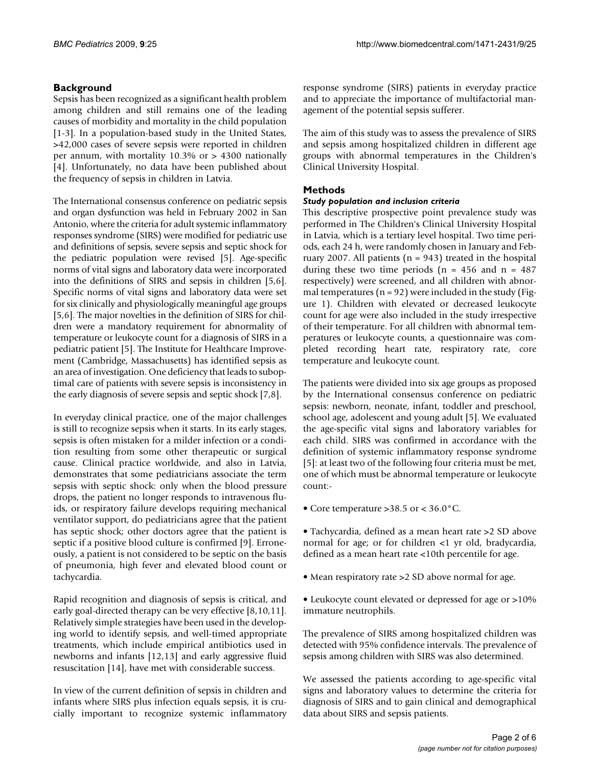## **Background**

Sepsis has been recognized as a significant health problem among children and still remains one of the leading causes of morbidity and mortality in the child population [1-3]. In a population-based study in the United States, >42,000 cases of severe sepsis were reported in children per annum, with mortality 10.3% or > 4300 nationally [4]. Unfortunately, no data have been published about the frequency of sepsis in children in Latvia.

The International consensus conference on pediatric sepsis and organ dysfunction was held in February 2002 in San Antonio, where the criteria for adult systemic inflammatory responses syndrome (SIRS) were modified for pediatric use and definitions of sepsis, severe sepsis and septic shock for the pediatric population were revised [5]. Age-specific norms of vital signs and laboratory data were incorporated into the definitions of SIRS and sepsis in children [5,6]. Specific norms of vital signs and laboratory data were set for six clinically and physiologically meaningful age groups [5,6]. The major novelties in the definition of SIRS for children were a mandatory requirement for abnormality of temperature or leukocyte count for a diagnosis of SIRS in a pediatric patient [5]. The Institute for Healthcare Improvement (Cambridge, Massachusetts) has identified sepsis as an area of investigation. One deficiency that leads to suboptimal care of patients with severe sepsis is inconsistency in the early diagnosis of severe sepsis and septic shock [7,8].

In everyday clinical practice, one of the major challenges is still to recognize sepsis when it starts. In its early stages, sepsis is often mistaken for a milder infection or a condition resulting from some other therapeutic or surgical cause. Clinical practice worldwide, and also in Latvia, demonstrates that some pediatricians associate the term sepsis with septic shock: only when the blood pressure drops, the patient no longer responds to intravenous fluids, or respiratory failure develops requiring mechanical ventilator support, do pediatricians agree that the patient has septic shock; other doctors agree that the patient is septic if a positive blood culture is confirmed [9]. Erroneously, a patient is not considered to be septic on the basis of pneumonia, high fever and elevated blood count or tachycardia.

Rapid recognition and diagnosis of sepsis is critical, and early goal-directed therapy can be very effective [8,10,11]. Relatively simple strategies have been used in the developing world to identify sepsis, and well-timed appropriate treatments, which include empirical antibiotics used in newborns and infants [12,13] and early aggressive fluid resuscitation [14], have met with considerable success.

In view of the current definition of sepsis in children and infants where SIRS plus infection equals sepsis, it is crucially important to recognize systemic inflammatory response syndrome (SIRS) patients in everyday practice and to appreciate the importance of multifactorial management of the potential sepsis sufferer.

The aim of this study was to assess the prevalence of SIRS and sepsis among hospitalized children in different age groups with abnormal temperatures in the Children's Clinical University Hospital.

## **Methods**

#### *Study population and inclusion criteria*

This descriptive prospective point prevalence study was performed in The Children's Clinical University Hospital in Latvia, which is a tertiary level hospital. Two time periods, each 24 h, were randomly chosen in January and February 2007. All patients ( $n = 943$ ) treated in the hospital during these two time periods ( $n = 456$  and  $n = 487$ ) respectively) were screened, and all children with abnormal temperatures ( $n = 92$ ) were included in the study (Figure 1). Children with elevated or decreased leukocyte count for age were also included in the study irrespective of their temperature. For all children with abnormal temperatures or leukocyte counts, a questionnaire was completed recording heart rate, respiratory rate, core temperature and leukocyte count.

The patients were divided into six age groups as proposed by the International consensus conference on pediatric sepsis: newborn, neonate, infant, toddler and preschool, school age, adolescent and young adult [5]. We evaluated the age-specific vital signs and laboratory variables for each child. SIRS was confirmed in accordance with the definition of systemic inflammatory response syndrome [5]: at least two of the following four criteria must be met, one of which must be abnormal temperature or leukocyte count:-

• Core temperature >38.5 or < 36.0°C.

• Tachycardia, defined as a mean heart rate >2 SD above normal for age; or for children <1 yr old, bradycardia, defined as a mean heart rate <10th percentile for age.

- Mean respiratory rate > 2 SD above normal for age.
- Leukocyte count elevated or depressed for age or >10% immature neutrophils.

The prevalence of SIRS among hospitalized children was detected with 95% confidence intervals. The prevalence of sepsis among children with SIRS was also determined.

We assessed the patients according to age-specific vital signs and laboratory values to determine the criteria for diagnosis of SIRS and to gain clinical and demographical data about SIRS and sepsis patients.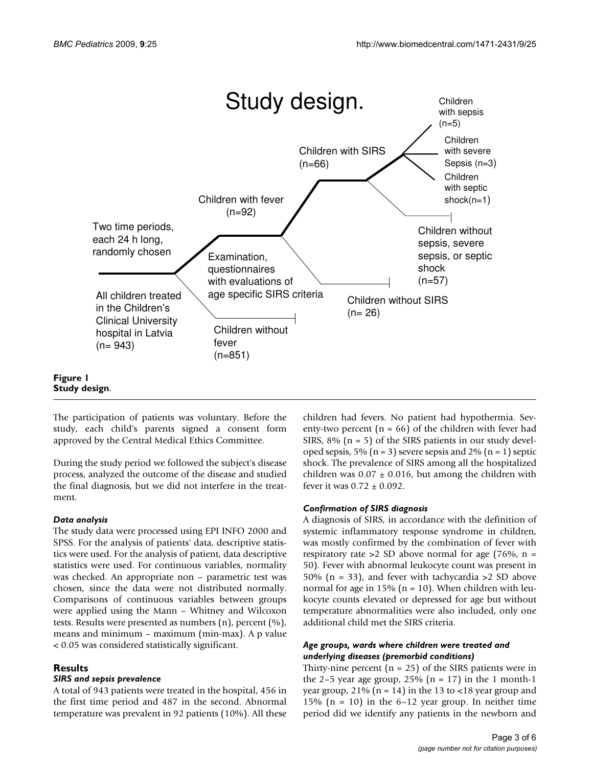

**Figure 1 Study design**.

The participation of patients was voluntary. Before the study, each child's parents signed a consent form approved by the Central Medical Ethics Committee.

During the study period we followed the subject's disease process, analyzed the outcome of the disease and studied the final diagnosis, but we did not interfere in the treatment.

#### *Data analysis*

The study data were processed using EPI INFO 2000 and SPSS. For the analysis of patients' data, descriptive statistics were used. For the analysis of patient, data descriptive statistics were used. For continuous variables, normality was checked. An appropriate non – parametric test was chosen, since the data were not distributed normally. Comparisons of continuous variables between groups were applied using the Mann – Whitney and Wilcoxon tests. Results were presented as numbers (n), percent (%), means and minimum – maximum (min-max). A p value < 0.05 was considered statistically significant.

#### **Results**

#### *SIRS and sepsis prevalence*

A total of 943 patients were treated in the hospital, 456 in the first time period and 487 in the second. Abnormal temperature was prevalent in 92 patients (10%). All these children had fevers. No patient had hypothermia. Seventy-two percent  $(n = 66)$  of the children with fever had SIRS,  $8\%$  (n = 5) of the SIRS patients in our study developed sepsis, 5% ( $n = 3$ ) severe sepsis and 2% ( $n = 1$ ) septic shock. The prevalence of SIRS among all the hospitalized children was  $0.07 \pm 0.016$ , but among the children with fever it was  $0.72 \pm 0.092$ .

#### *Confirmation of SIRS diagnosis*

A diagnosis of SIRS, in accordance with the definition of systemic inflammatory response syndrome in children, was mostly confirmed by the combination of fever with respiratory rate  $>2$  SD above normal for age (76%, n = 50). Fever with abnormal leukocyte count was present in 50% (n = 33), and fever with tachycardia >2 SD above normal for age in 15% ( $n = 10$ ). When children with leukocyte counts elevated or depressed for age but without temperature abnormalities were also included, only one additional child met the SIRS criteria.

#### *Age groups, wards where children were treated and underlying diseases (premorbid conditions)*

Thirty-nine percent ( $n = 25$ ) of the SIRS patients were in the 2–5 year age group, 25% ( $n = 17$ ) in the 1 month-1 year group,  $21\%$  (n = 14) in the 13 to <18 year group and 15% ( $n = 10$ ) in the 6-12 year group. In neither time period did we identify any patients in the newborn and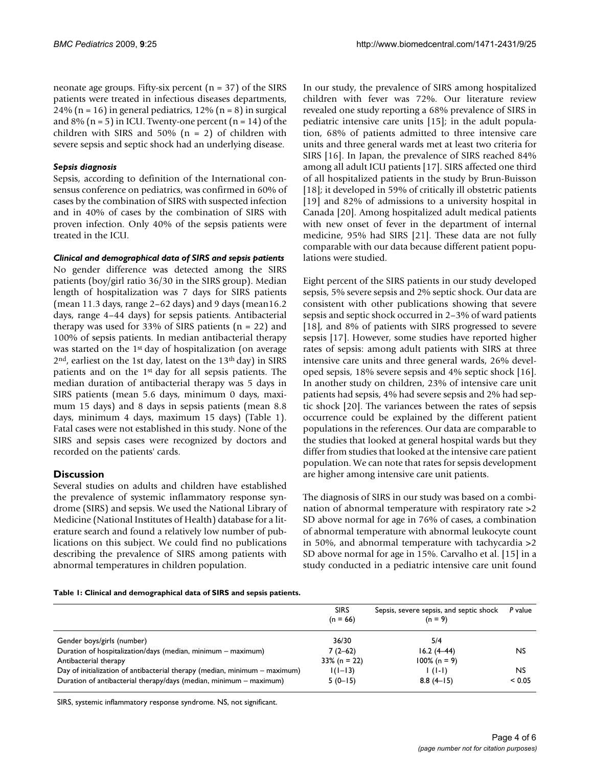neonate age groups. Fifty-six percent  $(n = 37)$  of the SIRS patients were treated in infectious diseases departments, 24% ( $n = 16$ ) in general pediatrics, 12% ( $n = 8$ ) in surgical and  $8\%$  (n = 5) in ICU. Twenty-one percent (n = 14) of the children with SIRS and 50% ( $n = 2$ ) of children with severe sepsis and septic shock had an underlying disease.

#### *Sepsis diagnosis*

Sepsis, according to definition of the International consensus conference on pediatrics, was confirmed in 60% of cases by the combination of SIRS with suspected infection and in 40% of cases by the combination of SIRS with proven infection. Only 40% of the sepsis patients were treated in the ICU.

#### *Clinical and demographical data of SIRS and sepsis patients*

No gender difference was detected among the SIRS patients (boy/girl ratio 36/30 in the SIRS group). Median length of hospitalization was 7 days for SIRS patients (mean 11.3 days, range 2–62 days) and 9 days (mean16.2 days, range 4–44 days) for sepsis patients. Antibacterial therapy was used for 33% of SIRS patients  $(n = 22)$  and 100% of sepsis patients. In median antibacterial therapy was started on the 1st day of hospitalization (on average 2<sup>nd</sup>, earliest on the 1st day, latest on the 13<sup>th</sup> day) in SIRS patients and on the 1st day for all sepsis patients. The median duration of antibacterial therapy was 5 days in SIRS patients (mean 5.6 days, minimum 0 days, maximum 15 days) and 8 days in sepsis patients (mean 8.8 days, minimum 4 days, maximum 15 days) (Table 1). Fatal cases were not established in this study. None of the SIRS and sepsis cases were recognized by doctors and recorded on the patients' cards.

#### **Discussion**

Several studies on adults and children have established the prevalence of systemic inflammatory response syndrome (SIRS) and sepsis. We used the National Library of Medicine (National Institutes of Health) database for a literature search and found a relatively low number of publications on this subject. We could find no publications describing the prevalence of SIRS among patients with abnormal temperatures in children population.

In our study, the prevalence of SIRS among hospitalized children with fever was 72%. Our literature review revealed one study reporting a 68% prevalence of SIRS in pediatric intensive care units [15]; in the adult population, 68% of patients admitted to three intensive care units and three general wards met at least two criteria for SIRS [16]. In Japan, the prevalence of SIRS reached 84% among all adult ICU patients [17]. SIRS affected one third of all hospitalized patients in the study by Brun-Buisson [18]; it developed in 59% of critically ill obstetric patients [19] and 82% of admissions to a university hospital in Canada [20]. Among hospitalized adult medical patients with new onset of fever in the department of internal medicine, 95% had SIRS [21]. These data are not fully comparable with our data because different patient populations were studied.

Eight percent of the SIRS patients in our study developed sepsis, 5% severe sepsis and 2% septic shock. Our data are consistent with other publications showing that severe sepsis and septic shock occurred in 2–3% of ward patients [18], and 8% of patients with SIRS progressed to severe sepsis [17]. However, some studies have reported higher rates of sepsis: among adult patients with SIRS at three intensive care units and three general wards, 26% developed sepsis, 18% severe sepsis and 4% septic shock [16]. In another study on children, 23% of intensive care unit patients had sepsis, 4% had severe sepsis and 2% had septic shock [20]. The variances between the rates of sepsis occurrence could be explained by the different patient populations in the references. Our data are comparable to the studies that looked at general hospital wards but they differ from studies that looked at the intensive care patient population. We can note that rates for sepsis development are higher among intensive care unit patients.

The diagnosis of SIRS in our study was based on a combination of abnormal temperature with respiratory rate >2 SD above normal for age in 76% of cases, a combination of abnormal temperature with abnormal leukocyte count in 50%, and abnormal temperature with tachycardia >2 SD above normal for age in 15%. Carvalho et al. [15] in a study conducted in a pediatric intensive care unit found

#### **Table 1: Clinical and demographical data of SIRS and sepsis patients.**

|                                                                            | <b>SIRS</b><br>$(n = 66)$ | Sepsis, severe sepsis, and septic shock<br>$(n = 9)$ | P value     |
|----------------------------------------------------------------------------|---------------------------|------------------------------------------------------|-------------|
| Gender boys/girls (number)                                                 | 36/30                     | 5/4                                                  |             |
| Duration of hospitalization/days (median, minimum – maximum)               | $7(2-62)$                 | $16.2(4 - 44)$                                       | <b>NS</b>   |
| Antibacterial therapy                                                      | $33\%$ (n = 22)           | $100\%$ (n = 9)                                      |             |
| Day of initialization of antibacterial therapy (median, minimum – maximum) | $1(1-13)$                 | $\left( \left( \left  -\right  \right) \right)$      | <b>NS</b>   |
| Duration of antibacterial therapy/days (median, minimum – maximum)         | $5(0-15)$                 | $8.8(4-15)$                                          | ${}_{0.05}$ |

SIRS, systemic inflammatory response syndrome. NS, not significant.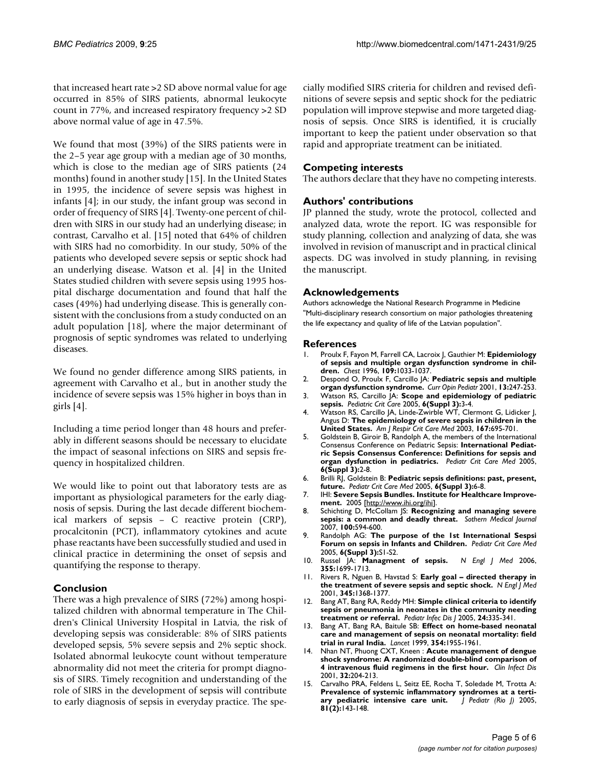that increased heart rate >2 SD above normal value for age occurred in 85% of SIRS patients, abnormal leukocyte count in 77%, and increased respiratory frequency >2 SD above normal value of age in 47.5%.

We found that most (39%) of the SIRS patients were in the 2–5 year age group with a median age of 30 months, which is close to the median age of SIRS patients (24 months) found in another study [15]. In the United States in 1995, the incidence of severe sepsis was highest in infants [4]; in our study, the infant group was second in order of frequency of SIRS [4]. Twenty-one percent of children with SIRS in our study had an underlying disease; in contrast, Carvalho et al. [15] noted that 64% of children with SIRS had no comorbidity. In our study, 50% of the patients who developed severe sepsis or septic shock had an underlying disease. Watson et al. [4] in the United States studied children with severe sepsis using 1995 hospital discharge documentation and found that half the cases (49%) had underlying disease. This is generally consistent with the conclusions from a study conducted on an adult population [18], where the major determinant of prognosis of septic syndromes was related to underlying diseases.

We found no gender difference among SIRS patients, in agreement with Carvalho et al., but in another study the incidence of severe sepsis was 15% higher in boys than in girls [4].

Including a time period longer than 48 hours and preferably in different seasons should be necessary to elucidate the impact of seasonal infections on SIRS and sepsis frequency in hospitalized children.

We would like to point out that laboratory tests are as important as physiological parameters for the early diagnosis of sepsis. During the last decade different biochemical markers of sepsis – C reactive protein (CRP), procalcitonin (PCT), inflammatory cytokines and acute phase reactants have been successfully studied and used in clinical practice in determining the onset of sepsis and quantifying the response to therapy.

#### **Conclusion**

There was a high prevalence of SIRS (72%) among hospitalized children with abnormal temperature in The Children's Clinical University Hospital in Latvia, the risk of developing sepsis was considerable: 8% of SIRS patients developed sepsis, 5% severe sepsis and 2% septic shock. Isolated abnormal leukocyte count without temperature abnormality did not meet the criteria for prompt diagnosis of SIRS. Timely recognition and understanding of the role of SIRS in the development of sepsis will contribute to early diagnosis of sepsis in everyday practice. The specially modified SIRS criteria for children and revised definitions of severe sepsis and septic shock for the pediatric population will improve stepwise and more targeted diagnosis of sepsis. Once SIRS is identified, it is crucially important to keep the patient under observation so that rapid and appropriate treatment can be initiated.

#### **Competing interests**

The authors declare that they have no competing interests.

#### **Authors' contributions**

JP planned the study, wrote the protocol, collected and analyzed data, wrote the report. IG was responsible for study planning, collection and analyzing of data, she was involved in revision of manuscript and in practical clinical aspects. DG was involved in study planning, in revising the manuscript.

#### **Acknowledgements**

Authors acknowledge the National Research Programme in Medicine "Multi-disciplinary research consortium on major pathologies threatening the life expectancy and quality of life of the Latvian population".

#### **References**

- 1. Proulx F, Fayon M, Farrell CA, Lacroix J, Gauthier M: **[Epidemiology](http://www.ncbi.nlm.nih.gov/entrez/query.fcgi?cmd=Retrieve&db=PubMed&dopt=Abstract&list_uids=8635327) [of sepsis and multiple organ dysfunction syndrome in chil](http://www.ncbi.nlm.nih.gov/entrez/query.fcgi?cmd=Retrieve&db=PubMed&dopt=Abstract&list_uids=8635327)[dren.](http://www.ncbi.nlm.nih.gov/entrez/query.fcgi?cmd=Retrieve&db=PubMed&dopt=Abstract&list_uids=8635327)** *Chest* 1996, **109:**1033-1037.
- 2. Despond O, Proulx F, Carcillo JA: **[Pediatric sepsis and multiple](http://www.ncbi.nlm.nih.gov/entrez/query.fcgi?cmd=Retrieve&db=PubMed&dopt=Abstract&list_uids=11389359)**
- **[organ dysfunction syndrome.](http://www.ncbi.nlm.nih.gov/entrez/query.fcgi?cmd=Retrieve&db=PubMed&dopt=Abstract&list_uids=11389359)** *Curr Opin Pediatr* 2001, **13:**247-253. 3. Watson RS, Carcillo JA: **Scope and epidemiology of pediatric sepsis.** *Pediatric Crit Care* 2005, **6(Suppl 3):**3-4.
- 4. Watson RS, Carcillo JA, Linde-Zwirble WT, Clermont G, Lidicker J, Angus D: **[The epidemiology of severe sepsis in children in the](http://www.ncbi.nlm.nih.gov/entrez/query.fcgi?cmd=Retrieve&db=PubMed&dopt=Abstract&list_uids=12433670) [United States.](http://www.ncbi.nlm.nih.gov/entrez/query.fcgi?cmd=Retrieve&db=PubMed&dopt=Abstract&list_uids=12433670)** *Am J Respir Crit Care Med* 2003, **167:**695-701.
- 5. Goldstein B, Giroir B, Randolph A, the members of the International Consensus Conference on Pediatric Sepsis: **International Pediatric Sepsis Consensus Conference: Definitions for sepsis and organ dysfunction in pediatrics.** *Pediatr Crit Care Med* 2005, **6(Suppl 3):**2-8.
- 6. Brilli RJ, Goldstein B: **Pediatric sepsis definitions: past, present, future.** *Pediatr Crit Care Med* 2005, **6(Suppl 3):**6-8.
- 7. IHI: **Severe Sepsis Bundles. Institute for Healthcare Improvement.** 2005 [<http://www.ihi.org/ihi>].
- 8. Schichting D, McCollam JS: **Recognizing and managing severe sepsis: a common and deadly threat.** *Sothern Medical Journal* 2007, **100:**594-600.
- 9. Randolph AG: **The purpose of the 1st International Sespsi Forum on sepsis in Infants and Children.** *Pediatr Crit Care Med* 2005, **6(Suppl 3):**S1-S2.
- 10. Russel JA: **[Managment of sepsis.](http://www.ncbi.nlm.nih.gov/entrez/query.fcgi?cmd=Retrieve&db=PubMed&dopt=Abstract&list_uids=17050894)** *N Engl J Med* 2006, **355:**1699-1713.
- Rivers R, Nguen B, Havstad S: Early goal directed therapy in **[the treatment of severe sepsis and septic shock.](http://www.ncbi.nlm.nih.gov/entrez/query.fcgi?cmd=Retrieve&db=PubMed&dopt=Abstract&list_uids=11794169)** *N Engl J Med* 2001, **345:**1368-1377.
- 12. Bang AT, Bang RA, Reddy MH: **Simple clinical criteria to identify sepsis or pneumonia in neonates in the community needing treatment or referral.** *Pediatr Infec Dis J* 2005, **24:**335-341.
- 13. Bang AT, Bang RA, Baitule SB: **[Effect on home-based neonatal](http://www.ncbi.nlm.nih.gov/entrez/query.fcgi?cmd=Retrieve&db=PubMed&dopt=Abstract&list_uids=10622298) [care and management of sepsis on neonatal mortality: field](http://www.ncbi.nlm.nih.gov/entrez/query.fcgi?cmd=Retrieve&db=PubMed&dopt=Abstract&list_uids=10622298) [trial in rural India.](http://www.ncbi.nlm.nih.gov/entrez/query.fcgi?cmd=Retrieve&db=PubMed&dopt=Abstract&list_uids=10622298)** *Lancet* 1999, **354:**1955-1961.
- 14. Nhan NT, Phuong CXT, Kneen : **[Acute management of dengue](http://www.ncbi.nlm.nih.gov/entrez/query.fcgi?cmd=Retrieve&db=PubMed&dopt=Abstract&list_uids=11170909) [shock syndrome: A randomized double-blind comparison of](http://www.ncbi.nlm.nih.gov/entrez/query.fcgi?cmd=Retrieve&db=PubMed&dopt=Abstract&list_uids=11170909) [4 intravenous fluid regimens in the first hour.](http://www.ncbi.nlm.nih.gov/entrez/query.fcgi?cmd=Retrieve&db=PubMed&dopt=Abstract&list_uids=11170909)** *Clin Infect Dis* 2001, **32:**204-213.
- 15. Carvalho PRA, Feldens L, Seitz EE, Rocha T, Soledade M, Trotta A: **Prevalence of systemic inflammatory syndromes at a terti-<br>
ary pediatric intensive care unit.** | Pediatr (Rio |) 2005, [ary pediatric intensive care unit.](http://www.ncbi.nlm.nih.gov/entrez/query.fcgi?cmd=Retrieve&db=PubMed&dopt=Abstract&list_uids=15858676) **81(2):**143-148.